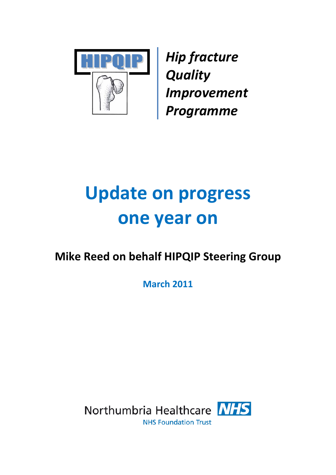

*Hip fracture Quality Improvement Programme*

# **Update on progress one year on**

# **Mike Reed on behalf HIPQIP Steering Group**

**March 2011**

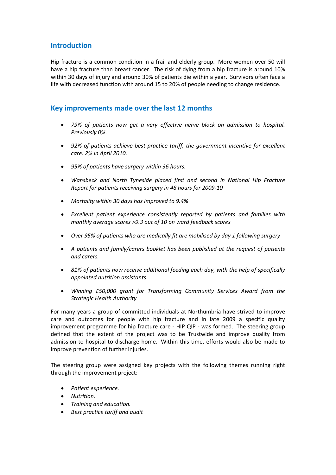# **Introduction**

Hip fracture is a common condition in a frail and elderly group. More women over 50 will have a hip fracture than breast cancer. The risk of dying from a hip fracture is around 10% within 30 days of injury and around 30% of patients die within a year. Survivors often face a life with decreased function with around 15 to 20% of people needing to change residence.

#### **Key improvements made over the last 12 months**

- *79% of patients now get a very effective nerve block on admission to hospital. Previously 0%.*
- *92% of patients achieve best practice tariff, the government incentive for excellent care. 2% in April 2010.*
- *95% of patients have surgery within 36 hours.*
- *Wansbeck and North Tyneside placed first and second in National Hip Fracture Report for patients receiving surgery in 48 hours for 2009‐10*
- *Mortality within 30 days has improved to 9.4%*
- *Excellent patient experience consistently reported by patients and families with monthly average scores >9.3 out of 10 on ward feedback scores*
- *Over 95% of patients who are medically fit are mobilised by day 1 following surgery*
- *A patients and family/carers booklet has been published at the request of patients and carers.*
- *81% of patients now receive additional feeding each day, with the help of specifically appointed nutrition assistants.*
- *Winning £50,000 grant for Transforming Community Services Award from the Strategic Health Authority*

For many years a group of committed individuals at Northumbria have strived to improve care and outcomes for people with hip fracture and in late 2009 a specific quality improvement programme for hip fracture care - HIP QIP - was formed. The steering group defined that the extent of the project was to be Trustwide and improve quality from admission to hospital to discharge home. Within this time, efforts would also be made to improve prevention of further injuries.

The steering group were assigned key projects with the following themes running right through the improvement project:

- *Patient experience.*
- *Nutrition.*
- *Training and education.*
- *Best practice tariff and audit*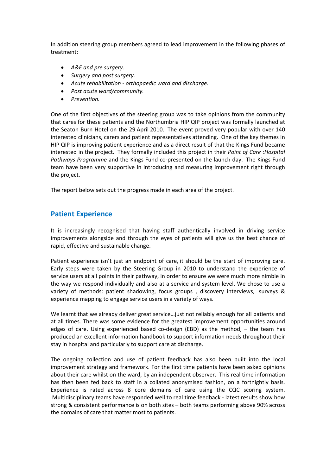In addition steering group members agreed to lead improvement in the following phases of treatment:

- *A&E and pre surgery.*
- *Surgery and post surgery.*
- *Acute rehabilitation ‐ orthopaedic ward and discharge.*
- *Post acute ward/community.*
- *Prevention.*

One of the first objectives of the steering group was to take opinions from the community that cares for these patients and the Northumbria HIP QIP project was formally launched at the Seaton Burn Hotel on the 29 April 2010. The event proved very popular with over 140 interested clinicians, carers and patient representatives attending. One of the key themes in HIP QIP is improving patient experience and as a direct result of that the Kings Fund became interested in the project. They formally included this project in their *Point of Care :Hospital Pathways Programme* and the Kings Fund co‐presented on the launch day. The Kings Fund team have been very supportive in introducing and measuring improvement right through the project.

The report below sets out the progress made in each area of the project.

#### **Patient Experience**

It is increasingly recognised that having staff authentically involved in driving service improvements alongside and through the eyes of patients will give us the best chance of rapid, effective and sustainable change.

Patient experience isn't just an endpoint of care, it should be the start of improving care. Early steps were taken by the Steering Group in 2010 to understand the experience of service users at all points in their pathway, in order to ensure we were much more nimble in the way we respond individually and also at a service and system level. We chose to use a variety of methods: patient shadowing, focus groups, discovery interviews, surveys & experience mapping to engage service users in a variety of ways.

We learnt that we already deliver great service…just not reliably enough for all patients and at all times. There was some evidence for the greatest improvement opportunities around edges of care. Using experienced based co-design (EBD) as the method, - the team has produced an excellent information handbook to support information needs throughout their stay in hospital and particularly to support care at discharge.

The ongoing collection and use of patient feedback has also been built into the local improvement strategy and framework. For the first time patients have been asked opinions about their care whilst on the ward, by an independent observer. This real time information has then been fed back to staff in a collated anonymised fashion, on a fortnightly basis. Experience is rated across 8 core domains of care using the CQC scoring system. Multidisciplinary teams have responded well to real time feedback ‐ latest results show how strong & consistent performance is on both sites – both teams performing above 90% across the domains of care that matter most to patients.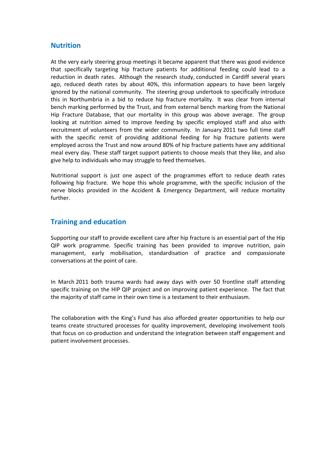#### **Nutrition**

At the very early steering group meetings it became apparent that there was good evidence that specifically targeting hip fracture patients for additional feeding could lead to a reduction in death rates. Although the research study, conducted in Cardiff several years ago, reduced death rates by about 40%, this information appears to have been largely ignored by the national community. The steering group undertook to specifically introduce this in Northumbria in a bid to reduce hip fracture mortality. It was clear from internal bench marking performed by the Trust, and from external bench marking from the National Hip Fracture Database, that our mortality in this group was above average. The group looking at nutrition aimed to improve feeding by specific employed staff and also with recruitment of volunteers from the wider community. In January 2011 two full time staff with the specific remit of providing additional feeding for hip fracture patients were employed across the Trust and now around 80% of hip fracture patients have any additional meal every day. These staff target support patients to choose meals that they like, and also give help to individuals who may struggle to feed themselves.

Nutritional support is just one aspect of the programmes effort to reduce death rates following hip fracture. We hope this whole programme, with the specific inclusion of the nerve blocks provided in the Accident & Emergency Department, will reduce mortality further.

#### **Training and education**

Supporting our staff to provide excellent care after hip fracture is an essential part of the Hip QIP work programme. Specific training has been provided to improve nutrition, pain management, early mobilisation, standardisation of practice and compassionate conversations at the point of care.

In March 2011 both trauma wards had away days with over 50 frontline staff attending specific training on the HIP QIP project and on improving patient experience. The fact that the majority of staff came in their own time is a testament to their enthusiasm.

The collaboration with the King's Fund has also afforded greater opportunities to help our teams create structured processes for quality improvement, developing involvement tools that focus on co‐production and understand the integration between staff engagement and patient involvement processes.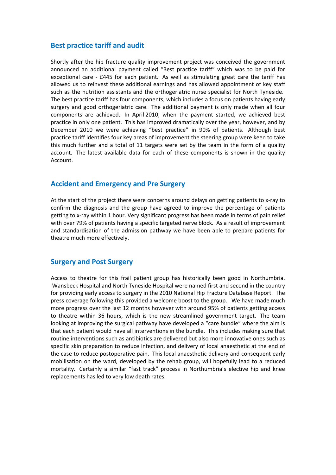#### **Best practice tariff and audit**

Shortly after the hip fracture quality improvement project was conceived the government announced an additional payment called "Best practice tariff" which was to be paid for exceptional care  $-$  £445 for each patient. As well as stimulating great care the tariff has allowed us to reinvest these additional earnings and has allowed appointment of key staff such as the nutrition assistants and the orthogeriatric nurse specialist for North Tyneside. The best practice tariff has four components, which includes a focus on patients having early surgery and good orthogeriatric care. The additional payment is only made when all four components are achieved. In April 2010, when the payment started, we achieved best practice in only one patient. This has improved dramatically over the year, however, and by December 2010 we were achieving "best practice" in 90% of patients. Although best practice tariff identifies four key areas of improvement the steering group were keen to take this much further and a total of 11 targets were set by the team in the form of a quality account. The latest available data for each of these components is shown in the quality Account.

# **Accident and Emergency and Pre Surgery**

At the start of the project there were concerns around delays on getting patients to x-ray to confirm the diagnosis and the group have agreed to improve the percentage of patients getting to x-ray within 1 hour. Very significant progress has been made in terms of pain relief with over 79% of patients having a specific targeted nerve block. As a result of improvement and standardisation of the admission pathway we have been able to prepare patients for theatre much more effectively.

#### **Surgery and Post Surgery**

Access to theatre for this frail patient group has historically been good in Northumbria. Wansbeck Hospital and North Tyneside Hospital were named first and second in the country for providing early access to surgery in the 2010 National Hip Fracture Database Report. The press coverage following this provided a welcome boost to the group. We have made much more progress over the last 12 months however with around 95% of patients getting access to theatre within 36 hours, which is the new streamlined government target. The team looking at improving the surgical pathway have developed a "care bundle" where the aim is that each patient would have all interventions in the bundle. This includes making sure that routine interventions such as antibiotics are delivered but also more innovative ones such as specific skin preparation to reduce infection, and delivery of local anaesthetic at the end of the case to reduce postoperative pain. This local anaesthetic delivery and consequent early mobilisation on the ward, developed by the rehab group, will hopefully lead to a reduced mortality. Certainly a similar "fast track" process in Northumbria's elective hip and knee replacements has led to very low death rates.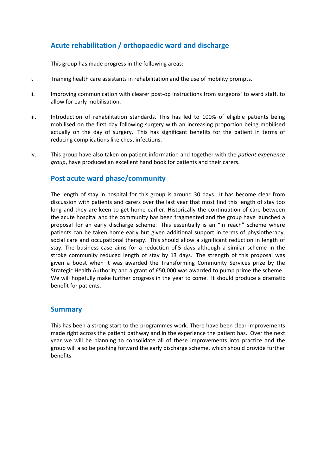# **Acute rehabilitation / orthopaedic ward and discharge**

This group has made progress in the following areas:

- i. Training health care assistants in rehabilitation and the use of mobility prompts.
- ii. Improving communication with clearer post-op instructions from surgeons' to ward staff, to allow for early mobilisation.
- iii. Introduction of rehabilitation standards. This has led to 100% of eligible patients being mobilised on the first day following surgery with an increasing proportion being mobilised actually on the day of surgery. This has significant benefits for the patient in terms of reducing complications like chest infections.
- iv. This group have also taken on patient information and together with the *patient experience group*, have produced an excellent hand book for patients and their carers.

#### **Post acute ward phase/community**

The length of stay in hospital for this group is around 30 days. It has become clear from discussion with patients and carers over the last year that most find this length of stay too long and they are keen to get home earlier. Historically the continuation of care between the acute hospital and the community has been fragmented and the group have launched a proposal for an early discharge scheme. This essentially is an "in reach" scheme where patients can be taken home early but given additional support in terms of physiotherapy, social care and occupational therapy. This should allow a significant reduction in length of stay. The business case aims for a reduction of 5 days although a similar scheme in the stroke community reduced length of stay by 13 days. The strength of this proposal was given a boost when it was awarded the Transforming Community Services prize by the Strategic Health Authority and a grant of £50,000 was awarded to pump prime the scheme. We will hopefully make further progress in the year to come. It should produce a dramatic benefit for patients.

#### **Summary**

This has been a strong start to the programmes work. There have been clear improvements made right across the patient pathway and in the experience the patient has. Over the next year we will be planning to consolidate all of these improvements into practice and the group will also be pushing forward the early discharge scheme, which should provide further benefits.